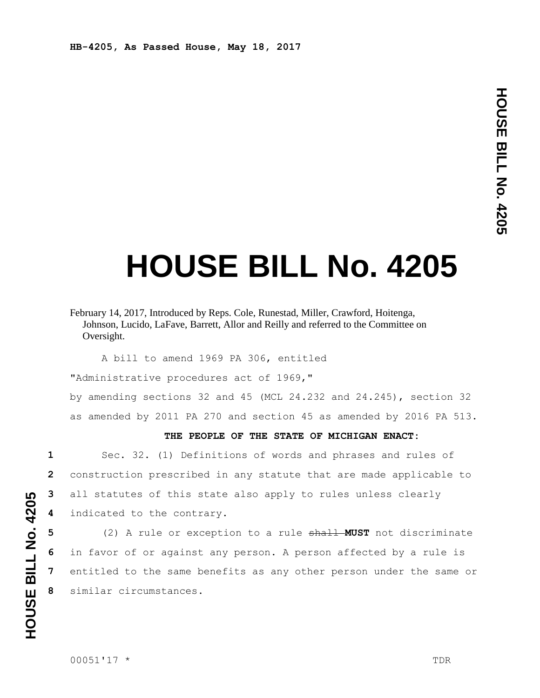**HB-4205, As Passed House, May 18, 2017**

## **HOUSE BILL No. 4205**

A bill to amend 1969 PA 306, entitled

"Administrative procedures act of 1969,"

by amending sections 32 and 45 (MCL 24.232 and 24.245), section 32 as amended by 2011 PA 270 and section 45 as amended by 2016 PA 513.

## **THE PEOPLE OF THE STATE OF MICHIGAN ENACT:**

 Sec. 32. (1) Definitions of words and phrases and rules of construction prescribed in any statute that are made applicable to all statutes of this state also apply to rules unless clearly indicated to the contrary.

 (2) A rule or exception to a rule shall **MUST** not discriminate in favor of or against any person. A person affected by a rule is entitled to the same benefits as any other person under the same or similar circumstances.

February 14, 2017, Introduced by Reps. Cole, Runestad, Miller, Crawford, Hoitenga, Johnson, Lucido, LaFave, Barrett, Allor and Reilly and referred to the Committee on Oversight.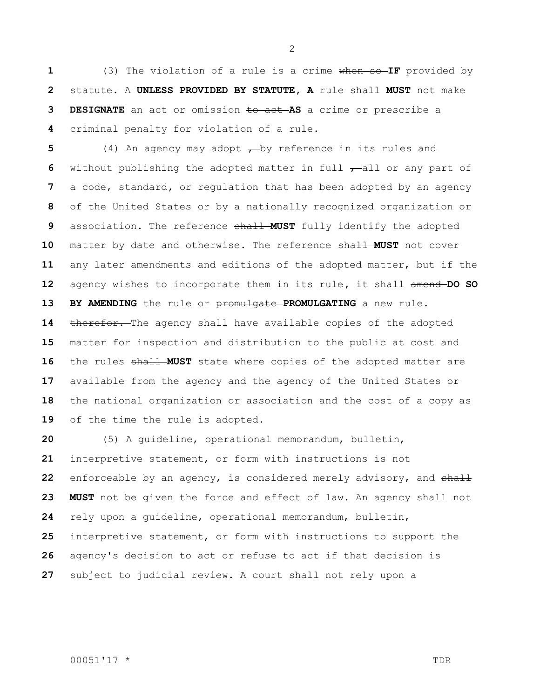(3) The violation of a rule is a crime when so **IF** provided by statute. A **UNLESS PROVIDED BY STATUTE, A** rule shall **MUST** not make **DESIGNATE** an act or omission to act **AS** a crime or prescribe a criminal penalty for violation of a rule.

 (4) An agency may adopt  $\rightarrow$  by reference in its rules and 6 without publishing the adopted matter in full  $-$ all or any part of a code, standard**,** or regulation that has been adopted by an agency of the United States or by a nationally recognized organization or association. The reference shall **MUST** fully identify the adopted matter by date and otherwise. The reference shall **MUST** not cover any later amendments and editions of the adopted matter, but if the agency wishes to incorporate them in its rule**,** it shall amend **DO SO BY AMENDING** the rule or promulgate **PROMULGATING** a new rule**.** 14 therefor. The agency shall have available copies of the adopted matter for inspection and distribution to the public at cost and 16 the rules shall MUST state where copies of the adopted matter are available from the agency and the agency of the United States or the national organization or association and the cost of a copy as of the time the rule is adopted.

 (5) A guideline, operational memorandum, bulletin, interpretive statement, or form with instructions is not enforceable by an agency, is considered merely advisory, and shall **MUST** not be given the force and effect of law. An agency shall not rely upon a guideline, operational memorandum, bulletin, interpretive statement, or form with instructions to support the agency's decision to act or refuse to act if that decision is subject to judicial review. A court shall not rely upon a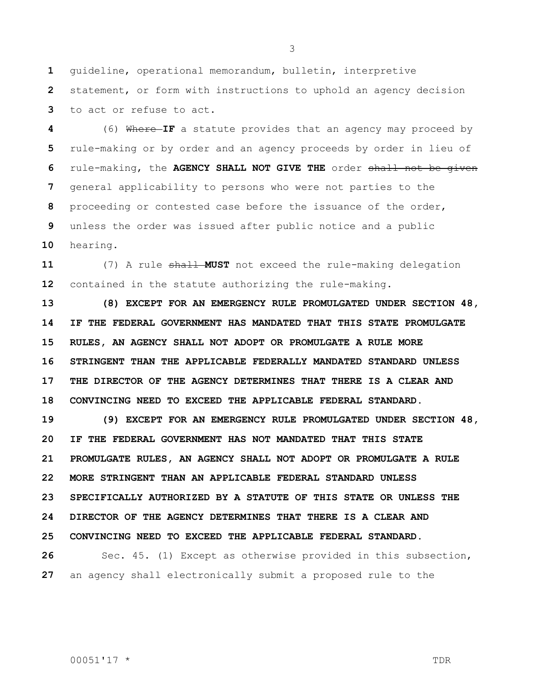guideline, operational memorandum, bulletin, interpretive

 statement, or form with instructions to uphold an agency decision to act or refuse to act.

 (6) Where **IF** a statute provides that an agency may proceed by rule-making or by order and an agency proceeds by order in lieu of rule-making, the **AGENCY SHALL NOT GIVE THE** order shall not be given general applicability to persons who were not parties to the proceeding or contested case before the issuance of the order, unless the order was issued after public notice and a public hearing.

 (7) A rule shall **MUST** not exceed the rule-making delegation contained in the statute authorizing the rule-making.

 **(8) EXCEPT FOR AN EMERGENCY RULE PROMULGATED UNDER SECTION 48, IF THE FEDERAL GOVERNMENT HAS MANDATED THAT THIS STATE PROMULGATE RULES, AN AGENCY SHALL NOT ADOPT OR PROMULGATE A RULE MORE STRINGENT THAN THE APPLICABLE FEDERALLY MANDATED STANDARD UNLESS THE DIRECTOR OF THE AGENCY DETERMINES THAT THERE IS A CLEAR AND CONVINCING NEED TO EXCEED THE APPLICABLE FEDERAL STANDARD.** 

 **(9) EXCEPT FOR AN EMERGENCY RULE PROMULGATED UNDER SECTION 48, IF THE FEDERAL GOVERNMENT HAS NOT MANDATED THAT THIS STATE PROMULGATE RULES, AN AGENCY SHALL NOT ADOPT OR PROMULGATE A RULE MORE STRINGENT THAN AN APPLICABLE FEDERAL STANDARD UNLESS SPECIFICALLY AUTHORIZED BY A STATUTE OF THIS STATE OR UNLESS THE DIRECTOR OF THE AGENCY DETERMINES THAT THERE IS A CLEAR AND CONVINCING NEED TO EXCEED THE APPLICABLE FEDERAL STANDARD.**

 Sec. 45. (1) Except as otherwise provided in this subsection, an agency shall electronically submit a proposed rule to the

00051'17 \* TDR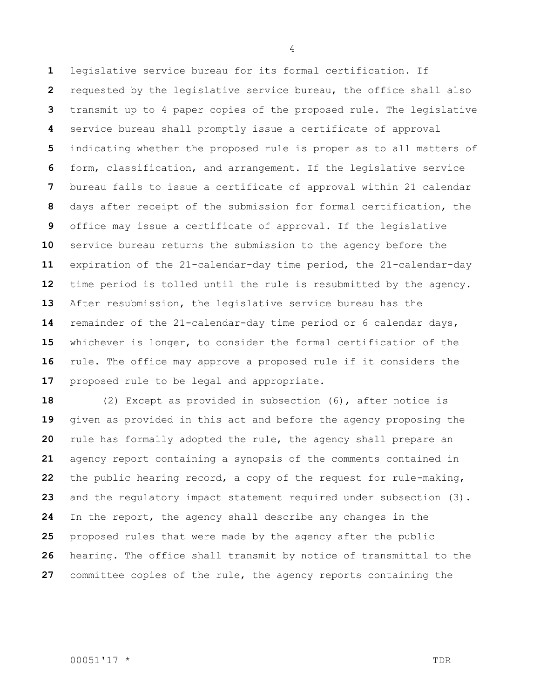legislative service bureau for its formal certification. If requested by the legislative service bureau, the office shall also transmit up to 4 paper copies of the proposed rule. The legislative service bureau shall promptly issue a certificate of approval indicating whether the proposed rule is proper as to all matters of form, classification, and arrangement. If the legislative service bureau fails to issue a certificate of approval within 21 calendar days after receipt of the submission for formal certification, the office may issue a certificate of approval. If the legislative service bureau returns the submission to the agency before the expiration of the 21-calendar-day time period, the 21-calendar-day time period is tolled until the rule is resubmitted by the agency. After resubmission, the legislative service bureau has the remainder of the 21-calendar-day time period or 6 calendar days, whichever is longer, to consider the formal certification of the rule. The office may approve a proposed rule if it considers the proposed rule to be legal and appropriate.

 (2) Except as provided in subsection (6), after notice is given as provided in this act and before the agency proposing the rule has formally adopted the rule, the agency shall prepare an agency report containing a synopsis of the comments contained in the public hearing record, a copy of the request for rule-making, and the regulatory impact statement required under subsection (3). In the report, the agency shall describe any changes in the proposed rules that were made by the agency after the public hearing. The office shall transmit by notice of transmittal to the committee copies of the rule, the agency reports containing the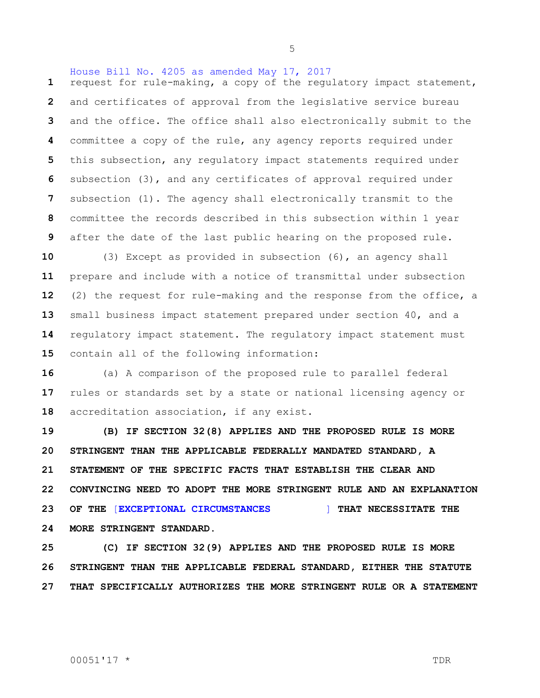request for rule-making, a copy of the regulatory impact statement, and certificates of approval from the legislative service bureau and the office. The office shall also electronically submit to the committee a copy of the rule, any agency reports required under this subsection, any regulatory impact statements required under subsection (3), and any certificates of approval required under subsection (1). The agency shall electronically transmit to the committee the records described in this subsection within 1 year after the date of the last public hearing on the proposed rule.

House Bill No. 4205 as amended May 17, 2017

 (3) Except as provided in subsection (6), an agency shall prepare and include with a notice of transmittal under subsection (2) the request for rule-making and the response from the office, a small business impact statement prepared under section 40, and a regulatory impact statement. The regulatory impact statement must contain all of the following information:

 (a) A comparison of the proposed rule to parallel federal rules or standards set by a state or national licensing agency or accreditation association, if any exist.

 **(B) IF SECTION 32(8) APPLIES AND THE PROPOSED RULE IS MORE STRINGENT THAN THE APPLICABLE FEDERALLY MANDATED STANDARD, A STATEMENT OF THE SPECIFIC FACTS THAT ESTABLISH THE CLEAR AND CONVINCING NEED TO ADOPT THE MORE STRINGENT RULE AND AN EXPLANATION OF THE** [**EXCEPTIONAL CIRCUMSTANCES** ] **THAT NECESSITATE THE MORE STRINGENT STANDARD.**

 **(C) IF SECTION 32(9) APPLIES AND THE PROPOSED RULE IS MORE STRINGENT THAN THE APPLICABLE FEDERAL STANDARD, EITHER THE STATUTE THAT SPECIFICALLY AUTHORIZES THE MORE STRINGENT RULE OR A STATEMENT**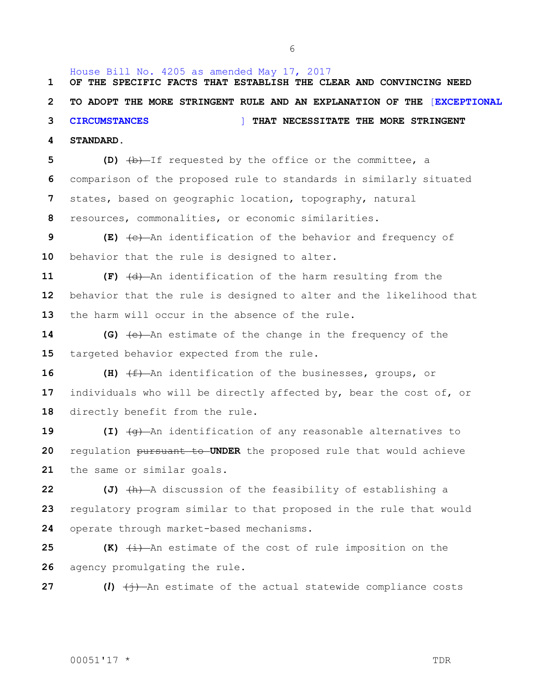House Bill No. 4205 as amended May 17, 2017 **OF THE SPECIFIC FACTS THAT ESTABLISH THE CLEAR AND CONVINCING NEED TO ADOPT THE MORE STRINGENT RULE AND AN EXPLANATION OF THE** [**EXCEPTIONAL CIRCUMSTANCES** ] **THAT NECESSITATE THE MORE STRINGENT STANDARD.**

 **(D)** (b) If requested by the office or the committee, a comparison of the proposed rule to standards in similarly situated states, based on geographic location, topography, natural resources, commonalities, or economic similarities.

 **(E)** (c) An identification of the behavior and frequency of behavior that the rule is designed to alter.

**11 (F)**  $\left(\frac{d}{dx}\right)$  An identification of the harm resulting from the behavior that the rule is designed to alter and the likelihood that the harm will occur in the absence of the rule.

 **(G)** (e) An estimate of the change in the frequency of the targeted behavior expected from the rule.

16 **(H)**  $\left(\frac{f}{f}\right)$  An identification of the businesses, groups, or individuals who will be directly affected by, bear the cost of, or directly benefit from the rule.

**19 (I)**  $\left(\frac{q}{q}\right)$  An identification of any reasonable alternatives to regulation pursuant to **UNDER** the proposed rule that would achieve the same or similar goals.

**22 (J)**  $\left(\text{h}\right)$  A discussion of the feasibility of establishing a regulatory program similar to that proposed in the rule that would operate through market-based mechanisms.

**25 (K)**  $\overline{t}$  An estimate of the cost of rule imposition on the agency promulgating the rule.

**27 (***l***)**  $\left(\frac{1}{7}\right)$  An estimate of the actual statewide compliance costs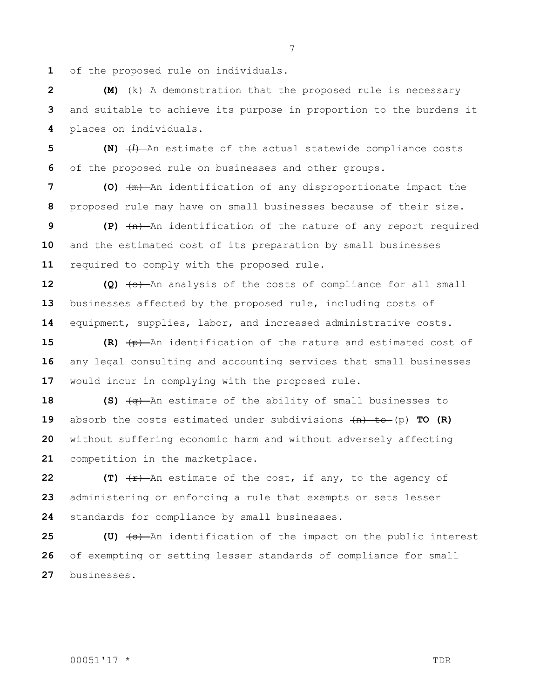of the proposed rule on individuals.

**2 (M)**  $+k$  A demonstration that the proposed rule is necessary and suitable to achieve its purpose in proportion to the burdens it places on individuals.

 **(N)** (*l*) An estimate of the actual statewide compliance costs of the proposed rule on businesses and other groups.

 **(O)** (m) An identification of any disproportionate impact the proposed rule may have on small businesses because of their size.

 **(P)** (n) An identification of the nature of any report required and the estimated cost of its preparation by small businesses required to comply with the proposed rule.

**12 (Q)**  $\left\{\Theta\right\}$  An analysis of the costs of compliance for all small businesses affected by the proposed rule, including costs of equipment, supplies, labor, and increased administrative costs.

**15 (R)**  $\overline{(+)}$  An identification of the nature and estimated cost of any legal consulting and accounting services that small businesses would incur in complying with the proposed rule.

**(S)**  $\frac{1}{2}$  **(S)**  $\frac{1}{2}$  An estimate of the ability of small businesses to absorb the costs estimated under subdivisions (n) to (p) **TO (R)** without suffering economic harm and without adversely affecting competition in the marketplace.

**22 (T)**  $\overline{r}$  An estimate of the cost, if any, to the agency of administering or enforcing a rule that exempts or sets lesser standards for compliance by small businesses.

**25 (U)**  $\left( \text{e} \right)$  An identification of the impact on the public interest of exempting or setting lesser standards of compliance for small businesses.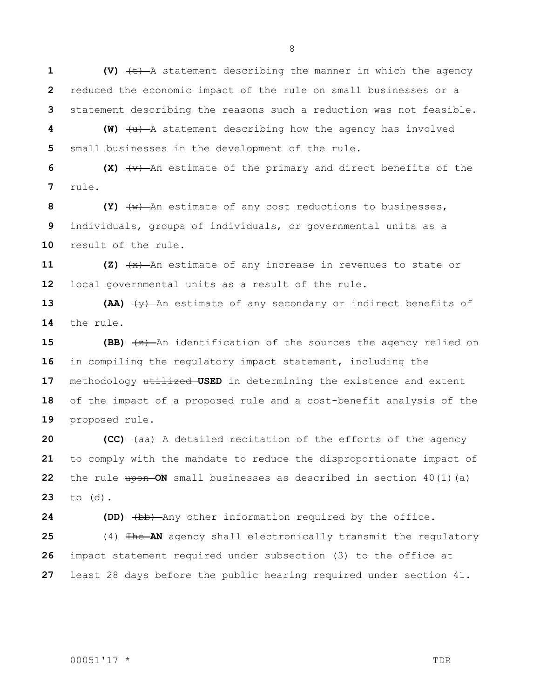**1 (V)**  $\leftarrow$  A statement describing the manner in which the agency reduced the economic impact of the rule on small businesses or a statement describing the reasons such a reduction was not feasible.

**4 (W)**  $\left(\frac{u}{v}\right)$  A statement describing how the agency has involved small businesses in the development of the rule.

 **(X)** (v) An estimate of the primary and direct benefits of the rule.

 **(Y)** (w) An estimate of any cost reductions to businesses, individuals, groups of individuals, or governmental units as a result of the rule.

**11 (Z)**  $\frac{4x}{x}$  An estimate of any increase in revenues to state or local governmental units as a result of the rule.

**13 (AA)**  $\left(\frac{1}{2}\right)$  An estimate of any secondary or indirect benefits of the rule.

 **(BB)**  $\left(\frac{x}{2}\right)$  An identification of the sources the agency relied on in compiling the regulatory impact statement, including the 17 methodology **utilized-USED** in determining the existence and extent of the impact of a proposed rule and a cost-benefit analysis of the proposed rule.

 **(CC)**  $\left(\frac{a}{b}\right)$  A detailed recitation of the efforts of the agency to comply with the mandate to reduce the disproportionate impact of the rule upon ON small businesses as described in section 40(1)(a) to (d).

**24 (DD)**  $\left(\frac{b}{b}\right)$  Any other information required by the office.

 (4) The **AN** agency shall electronically transmit the regulatory impact statement required under subsection (3) to the office at least 28 days before the public hearing required under section 41.